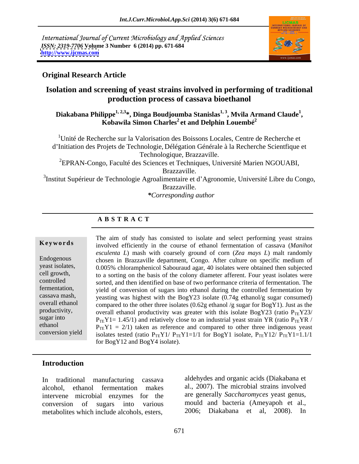International Journal of Current Microbiology and Applied Sciences *ISSN: 2319-7706* **Volume 3 Number 6 (2014) pp. 671-684 <http://www.ijcmas.com>**



### **Original Research Article**

## **Isolation and screening of yeast strains involved in performing of traditional production process of cassava bioethanol**

# Diakabana Philippe<sup>1, 2,3</sup>\*, Dinga Boudjoumba Stanislas<sup>1, 3</sup>, Mvila Armand Claude<sup>1</sup>,<br>Kobawila Simon Charles<sup>2</sup> et and Delphin Louembé<sup>2</sup>

1Unité de Recherche sur la Valorisation des Boissons Locales, Centre de Recherche et d'Initiation des Projets de Technologie, Délégation Générale à la Recherche Scientfique et Technologique, Brazzaville.

<sup>2</sup>EPRAN-Congo, Faculté des Sciences et Techniques, Université Marien NGOUABI, Brazzaville.

<sup>3</sup>Institut Supérieur de Technologie Agroalimentaire et d'Agronomie, Université Libre du Congo, Brazzaville.

*\*Corresponding author*

## **A B S T R A C T**

**Keywords** involved efficiently in the course of ethanol fermentation of cassava (*Manihot* Endogenous chosen in Brazzaville department, Congo. After culture on specific medium of yeast isolates, 0.005% chloramphenicol Sabouraud agar, 40 isolates were obtained then subjected cell growth, to a sorting on the basis of the colony diameter afferent. Four yeast isolates were controlled sorted, and then identified on base of two performance criteria of fermentation. The fermentation, yield of conversion of sugars into ethanol during the controlled fermentation by cassava mash, yeasting was highest with the BogY23 isolate  $(0.74g \text{ ethanol/g sugar consumed})$ overall ethanol compared to the other three isolates  $(0.62g$  ethanol /g sugar for BogY1). Just as the productivity, overall ethanol productivity was greater with this isolate BogY23 (ratio  $P_{TE}Y23/$ sugar into  $P_{TE}Y1 = 1.45/1$ ) and relatively close to an industrial yeast strain YR (ratio  $P_{TE}YR$  / ethanol  $P_{TE}Y1 = 2/1$  taken as reference and compared to other three indigenous yeast conversion yield isolates tested (ratio  $P_{TE}Y1/P_{TE}Y1=1/1$  for BogY1 isolate,  $P_{TE}Y12/P_{TE}Y1=1.1/1$ The aim of study has consisted to isolate and select performing yeast strains *esculenta L*) mash with coarsely ground of corn (*Zea mays L*) malt randomly for BogY12 and BogY4 isolate).

### **Introduction**

intervene microbial enzymes for the metabolites which include alcohols, esters,

In traditional manufacturing cassava aldehydes and organic acids (Diakabana et alcohol, ethanol fermentation makes al., 2007). The microbial strains involved conversion of sugars into various mould and bacteria (Ameyapoh et al., are generally *Saccharomyces* yeast genus, 2006; Diakabana et al, 2008). In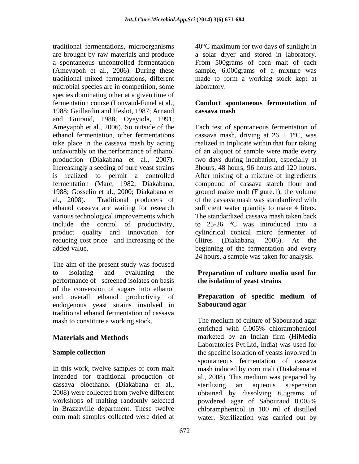traditional fermentations, microorganisms 40°C maximum for two days of sunlight in are brought by raw materials and produce a solar dryer and stored in laboratory. a spontaneous uncontrolled fermentation From 500grams of corn malt of each (Ameyapoh et al., 2006). During these sample, 6,000grams of a mixture was traditional mixed fermentations, different made to form a working stock kept at microbial species are in competition, some laboratory. species dominating other at a given time of fermentation course (Lonvaud-Funel et al., **Conduct spontaneous fermentation of** 1988; Gaillardin and Heslot, 1987; Arnaud and Guiraud, 1988; Oyeyiola, 1991; Ameyapoh et al., 2006). So outside of the Each test of spontaneous fermentation of ethanol fermentation, other fermentations cassava mash, driving at  $26 \pm 1$ °C, was take place in the cassava mash by acting realized in triplicate within that four taking unfavorably on the performance of ethanol production (Diakabana et al., 2007). two days during incubation, especially at Increasingly a seeding of pure yeast strains 3hours, 48 hours, 96 hours and 120 hours. is realized to permit a controlled After mixing of a mixture of ingredients fermentation (Marc, 1982; Diakabana, compound of cassava starch flour and 1988; Gosselin et al., 2000; Diakabana et al., 2008). Traditional producers of of the cassava mash was standardized with ethanol cassava are waiting for research sufficient water quantity to make 4 liters. various technological improvements which The standardized cassava mash taken back include the control of productivity, product quality and innovation for cylindrical conical micro fermenter of reducing cost price and increasing of the 6litres (Diakabana, 2006). At the added value. beginning of the fermentation and every

The aim of the present study was focused to isolating and evaluating the **Preparation of culture media used for** performance of screened isolates on basis of the conversion of sugars into ethanol and overall ethanol productivity of endogenous yeast strains involved in Sabouraud agar traditional ethanol fermentation of cassava mash to constitute a working stock.

In this work, twelve samples of corn malt intended for traditional production of al., 2008). This medium was prepared by cassava bioethanol (Diakabana et al., 2008) were collected from twelve different obtained by dissolving 6.5grams of workshops of malting randomly selected powdered agar of Sabouraud 0.005% in Brazzaville department. These twelve chloramphenicol in 100 ml of distilled

laboratory.

# **cassava mash**

of an aliquot of sample were made every ground maize malt (Figure.1), the volume to 25-26 °C was introduced into a 6litres (Diakabana, 2006). At the 24 hours, a sample was taken for analysis.

# **the isolation of yeast strains**

## **Preparation of specific medium of Sabouraud agar**

**Materials and Methods Exercise 2016 Materials and Methods Exercise 2016 Materials and Methods Sample collection** corn malt samples collected were dried at water. Sterilization was carried out byThe medium of culture of Sabouraud agar enriched with 0.005% chloramphenicol marketed by an Indian firm (HiMedia Laboratories Pvt.Ltd, India) was used for spontaneous fermentation of cassava mash induced by corn malt (Diakabana et sterilizing an aqueous suspension powdered agar of Sabouraud 0.005%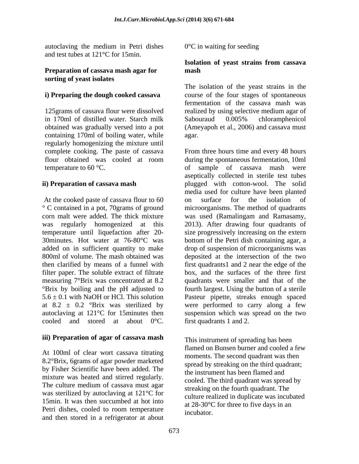autoclaving the medium in Petri dishes  $0^{\circ}$ C in waiting for seeding and test tubes at 121°C for 15min.

#### **Preparation of cassava mash agar for sorting of yeast isolates**

## **i) Preparing the dough cooked cassava**

in 170ml of distilled water. Starch milk containing 170ml of boiling water, while regularly homogenizing the mixture until

At the cooked paste of cassava flour to 60 on surface for the isolation of ° C contained in a pot, 70grams of ground microorganisms. The method of quadrants corn malt were added. The thick mixture was used (Ramalingam and Ramasamy, was regularly homogenized at this 2013). After drawing four quadrants of temperature until liquefaction after 20- size progressively increasing on the extern 30minutes. Hot water at 76-80°C was bottom of the Petri dish containing agar, a added on in sufficient quantity to make drop of suspension of microorganisms was 800ml of volume. The mash obtained was deposited at the intersection of the two then clarified by means of a funnel with first quadrants1 and 2 near the edge of the filter paper. The soluble extract of filtrate measuring 7°Brix was concentrated at 8.2 quadrants were smaller and that of the °Brix by boiling and the pH adjusted to fourth largest. Using the button of a sterile  $5.6 \pm 0.1$  with NaOH or HCl. This solution Pasteur pipette, streaks enough spaced at  $8.2 \pm 0.2$  <sup>o</sup>Brix was sterilized by were performed to carry along a few autoclaving at 121°C for 15minutes then suspension which was spread on the two cooled and stored at about  $0^{\circ}$ C. first quadrants 1 and 2.

### **iii) Preparation of agar of cassava mash**

At 100ml of clear wort cassava titrating 8.2°Brix, 6grams of agar powder marketed by Fisher Scientific have been added. The mixture was heated and stirred regularly. The culture medium of cassava must agar was sterilized by autoclaving at 121°C for 15min. It was then succumbed at hot into Petri dishes, cooled to room temperature and then stored in a refrigerator at about

0°C in waiting for seeding

#### **Isolation of yeast strains from cassava mash**

125grams of cassava flour were dissolved realized by using selective medium agar of obtained was gradually versed into a pot (Ameyapoh et al., 2006) and cassava must The isolation of the yeast strains in the course of the four stages of spontaneous fermentation of the cassava mash was Sabouraud 0.005% chloramphenicol agar.

complete cooking. The paste of cassava From three hours time and every 48 hours flour obtained was cooled at room during the spontaneous fermentation, 10ml temperature to 60 °C. The contract of sample of cassava mash were **ii) Preparation of cassava mash** plugged with cotton-wool. The solid during the spontaneous fermentation, 10ml aseptically collected in sterile test tubes media used for culture have been planted on surface for the isolation of box, and the surfaces of the three first first quadrants 1 and 2.

> This instrument of spreading has been flamed on Bunsen burner and cooled a few moments. The second quadrant was then spread by streaking on the third quadrant; the instrument has been flamed and cooled. The third quadrant was spread by streaking on the fourth quadrant. The culture realized in duplicate was incubated at 28-30°C for three to five days in an incubator.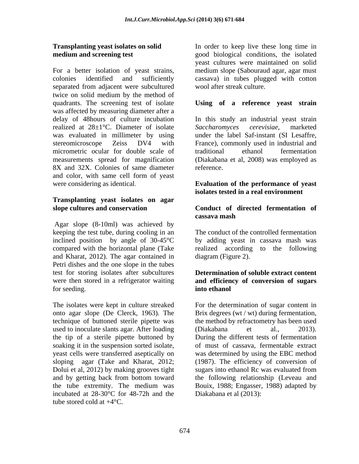For a better isolation of yeast strains, colonies identified and sufficiently cassava) in tubes plugged with cotton separated from adjacent were subcultured twice on solid medium by the method of quadrants. The screening test of isolate **Using of a reference yeast strain** was affected by measuring diameter after a delay of 48hours of culture incubation In this study an industrial yeast strain realized at 28±1<sup>°</sup>C. Diameter of isolate Saccharomyces cerevisiae, marketed was evaluated in millimeter by using under the label Saf-instant (SI Lesaffre, stereomicroscope Zeiss DV4 with France), commonly used in industrial and micrometric ocular for double scale of traditional ethanol fermentation measurements spread for magnification (Diakabana et al, 2008) was employed as 8X and 32X. Colonies of same diameter reference. and color, with same cell form of yeast

## **Transplanting yeast isolates on agar**

Agar slope (8-10ml) was achieved by keeping the test tube, during cooling in an The conduct of the controlled fermentation inclined position by angle of 30-45°C compared with the horizontal plane (Take realized according to the following and Kharat, 2012). The agar contained in Petri dishes and the one slope in the tubes test for storing isolates after subcultures were then stored in a refrigerator waiting **and efficiency of conversion of sugars** for seeding. **Example 20** into ethanol

The isolates were kept in culture streaked For the determination of sugar content in onto agar slope (De Clerck, 1963). The Brix degrees (wt / wt) during fermentation, technique of buttoned sterile pipette was the method by refractometry has been used used to inoculate slants agar. After loading (Diakabana et al., 2013). the tip of a sterile pipette buttoned by soaking it in the suspension sorted isolate, of must of cassava, fermentable extract yeast cells were transferred aseptically on was determined by using the EBC method sloping agar (Take and Kharat, 2012; (1987). The efficiency of conversion of Dolui et al, 2012) by making grooves tight sugars into ethanol Rc was evaluated from and by getting back from bottom toward the following relationship (Leveau and the tube extremity. The medium was Bouix, 1988; Engasser, 1988) adapted by incubated at 28-30°C for 48-72h and the tube stored cold at +4°C.

**Transplanting yeast isolates on solid** In order to keep live these long time in **medium and screening test** good biological conditions, the isolated yeast cultures were maintained on solid medium slope (Sabouraud agar, agar must wool after streak culture.

*Saccharomyces cerevisiae*, marketed traditional ethanol fermentation reference.

#### were considering as identical. **Evaluation of the performance of yeast isolates tested in a real environment**

### **slope cultures and conservation Conduct of directed fermentation of cassava mash**

by adding yeast in cassava mash was diagram (Figure 2).

## **Determination of soluble extract content into ethanol**

(Diakabana et al., 2013). During the different tests of fermentation sugars into ethanol Rc was evaluated from Diakabana et al (2013):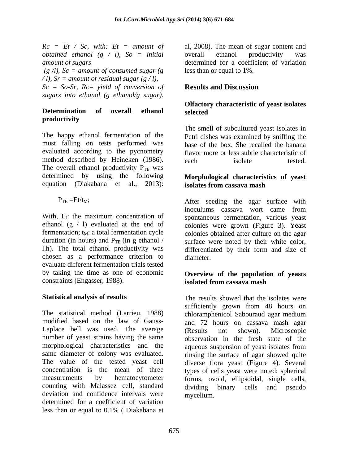*obtained ethanol (g / l), So = initial*

 $(g \land l)$ ,  $Sc = amount of consumed sugar (g)$ */ l), Sr = amount of residual sugar (g / l), Sc = So-Sr, Rc= yield of conversion of sugars into ethanol (g ethanol/g sugar).*

# **productivity**

The happy ethanol fermentation of the Petri dishes was examined by sniffing the must falling on tests performed was base of the box. She recalled the banana evaluated according to the pycnometry method described by Heineken (1986). each isolate tested The overall ethanol productivity  $P_{TE}$  was determined by using the following equation (Diakabana et al., 2013): isolates from cassava mash

ethanol  $(g / l)$  evaluated at the end of chosen as a performance criterion to evaluate different fermentation trials tested by taking the time as one of economic constraints (Engasser, 1988).

The statistical method (Larrieu, 1988) chloramphenicol Sabouraud agar medium modified based on the law of Gauss- and 72 hours on cassava mash agar Laplace bell was used. The average (Results not shown). Microscopic number of yeast strains having the same morphological characteristics and the aqueous suspension of yeast isolates from same diameter of colony was evaluated. rinsing the surface of agar showed quite The value of the tested yeast cell diverse flora yeast (Figure 4). Several concentration is the mean of three types of cells yeast were noted: spherical measurements by hematocytometer forms, ovoid, ellipsoidal, single cells, counting with Malassez cell, standard deviation and confidence intervals were determined for a coefficient of variation less than or equal to 0.1% ( Diakabana et

 $Rc = Et / Sc$ , with:  $Et = amount of$  al, 2008). The mean of sugar content and *amount of sugars* determined for a coefficient of variation overall ethanol productivity was less than or equal to 1%.

## **Results and Discussion**

#### **Determination of overall ethanol Olfactory characteristic of yeast isolates selected**

The smell of subcultured yeast isolates in flavor more or less subtle characteristic of each isolate tested.

### **Morphological characteristics of yeast isolates from cassava mash**

 $P_{TE} = Et/t_M;$  After seeding the agar surface with With, E<sub>f</sub>: the maximum concentration of spontaneous fermentation, various yeast fermentation;  $t_M$ : a total fermentation cycle colonies obtained after culture on the agar duration (in hours) and  $P_{TE}$  (in g ethanol / surface were noted by their white color, l.h). The total ethanol productivity was differentiated by their form and size of inoculums cassava wort came from colonies were grown (Figure 3). Yeast diameter.

## **Overview of the population of yeasts isolated from cassava mash**

Statistical analysis of results showed that the isolates were sufficiently grown from 48 hours on (Results not shown). Microscopic observation in the fresh state of the binary cells and pseudo mycelium.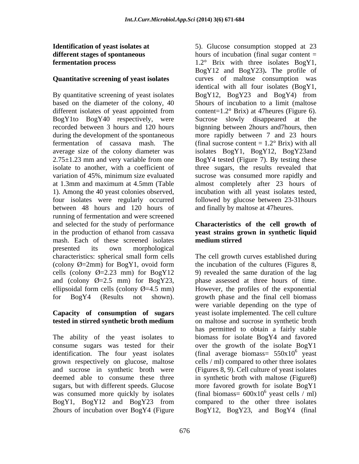# **Identification of yeast isolates at**  5). Glucose consumption stopped at 23

By quantitative screening of yeast isolates  $BogY12$ ,  $BogY23$  and  $BogY4$ ) from based on the diameter of the colony, 40 5hours of incubation to a limit (maltose different isolates of yeast appointed from content= $1.2^{\circ}$  Brix) at 47 heures (Figure 6). BogY1to BogY40 respectively, were recorded between 3 hours and 120 hours bignning between 2hours and7hours, then during the development of the spontaneous more rapidly between 7 and 23 hours fermentation of cassava mash. The (final sucrose content  $= 1.2^{\circ}$  Brix) with all average size of the colony diameter was isolates BogY1, BogY12, BogY23and  $2.75\pm1.23$  mm and very variable from one BogY4 tested (Figure 7). By testing these isolate to another, with a coefficient of three sugars, the results revealed that variation of 45%, minimum size evaluated sucrose was consumed more rapidly and at 1.3mm and maximum at 4.5mm (Table almost completely after 23 hours of 1). Among the 40 yeast colonies observed, incubation with all yeast isolates tested, four isolates were regularly occurred followed by glucose between 23-31 hours between 48 hours and 120 hours of running of fermentation and were screened and selected for the study of performance **Characteristics of the cell growth of** in the production of ethanol from cassava **yeast strains grown in synthetic liquid** mash. Each of these screened isolates presented its own morphological characteristics: spherical small form cells cells (colony  $\emptyset$ =2.23 mm) for BogY12 9) revealed the same duration of the lag

The ability of the yeast isolates to sugars, but with different speeds. Glucose BogY1, BogY12 and BogY23 from

**different stages of spontaneous** hours of incubation (final sugar content = **fermentation process 1.2°** Brix with three isolates BogY1, **Quantitative screening of yeast isolates** curves of maltose consumption was BogY12 and BogY23)**.** The profile of identical with all four isolates (BogY1, BogY12, BogY23 and BogY4) from content=1.2° Brix) at 47heures (Figure 6). Sucrose slowly disappeared at the BogY4 tested (Figure 7). By testing these incubation with all yeast isolates tested, followed by glucose between 23-31hours and finally by maltose at 47heures.

# **medium stirred**

(colony  $\emptyset$ =2mm) for BogY1, ovoid form the incubation of the cultures (Figures 8, and (colony  $\emptyset$ =2.5 mm) for BogY23, phase assessed at three hours of time. ellipsoidal form cells (colony  $\emptyset$ =4.5 mm) However, the profiles of the exponential for BogY4 (Results not shown). growth phase and the final cell biomass **Capacity of consumption of sugars** yeast isolate implemented. The cell culture **tested in stirred synthetic broth medium** consume sugars was tested for their over the growth of the isolate BogY1 identification. The four yeast isolates (final average biomass=  $550x10<sup>6</sup>$  yeast grown respectively on glucose, maltose cells / ml) compared to other three isolates and sucrose in synthetic broth were (Figures 8, 9). Cell culture of yeast isolates deemed able to consume these three in synthetic broth with maltose (Figure8) was consumed more quickly by isolates (final biomass=  $600x10<sup>6</sup>$  yeast cells / ml) 2hours of incubation over BogY4 (Figure BogY12, BogY23, and BogY4 (finalThe cell growth curves established during the incubation of the cultures (Figures 8, 9) revealed the same duration of the lag were variable depending on the type of on maltose and sucrose in synthetic broth has permitted to obtain a fairly stable biomass for isolate BogY4 and favored  $\frac{1}{2}$ yeast more favored growth for isolate BogY1  $^6$  yoost colls (ml) yeast cells / ml) compared to the other three isolates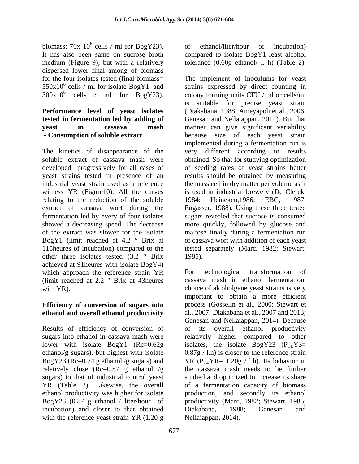dispersed lower final among of biomass  $550x10^6$  cells / ml for isolate BogY1 and  $300x10^6$  cells / ml for  $\overline{B}$ ogY23).

# **Performance level of yeast isolates**

The kinetics of disappearance of the very different according to results relating to the reduction of the soluble 1984; Heineken, 1986; EBC, 1987, extract of cassava wort during the other three isolates tested  $(3.2 \degree \text{Brix} \qquad 1985)$ . achieved at 91heures with isolate BogY4) which approach the reference strain YR For technological transformation of

## **Efficiency of conversion of sugars into ethanol and overall ethanol productivity**

relatively close (Rc=0.87 g ethanol /g sugars) to that of industrial control yeast incubation) and closer to that obtained Diakabana, 1988; Ganesan and with the reference yeast strain YR (1.20 g

biomass:  $70x\ 10^6$  cells / ml for BogY23). of ethanol/liter/hour of incubation) It has also been same on sucrose broth compared to isolate BogY1 least alcohol medium (Figure 9), but with a relatively tolerance (0.60g ethanol/ l. h) (Table 2). of ethanol/liter/hour of incubation)

for the four isolates tested (final biomass= The implement of inoculums for yeast cells / ml for isolate BogY1 and strains expressed by direct counting in cells / ml for BogY23). colony forming units CFU / ml or cells/ml **tested in fermentation led by adding of** Ganesan and Nellaiappan, 2014). But that **yeast in cassava mash** manner can give significant variability **- Consumption of soluble extract** because size of each yeast strain soluble extract of cassava mash were obtained. So that for studying optimization developed progressively for all cases of of seeding rates of yeast strains better yeast strains tested in presence of an results should be obtained by measuring industrial yeast strain used as a reference the mass cell in dry matter per volume as it witness YR (Figure10). All the curves is used in industrial brewery (De Clerck, fermentation led by every of four isolates sugars revealed that sucrose is consumed showed a decreasing speed. The decrease more quickly, followed by glucose and of the extract was slower for the isolate maltose finally during a fermentation run BogY1 (limit reached at 4.2  $\degree$  Brix at of cassava wort with addition of each yeast 115heures of incubation) compared to the tested separately (Marc, 1982; Stewart, is suitable for precise yeast strain (Diakabana, 1988; Ameyapoh et al., 2006; implemented during a fermentation run is very different according to results 1984; Heineken,1986; EBC, 1987, Engasser, 1988). Using these three tested 1985).

(limit reached at 2.2 ° Brix at 43heures cassava mash in ethanol fermentation, with YR). Choice of alcoholgene yeast strains is very Results of efficiency of conversion of of its overall ethanol productivity sugars into ethanol in cassava mash were relatively higher compared to other lower with isolate  $\text{BogY1}$  (Rc=0.62g isolates, the isolate  $\text{BogY23}$  (P<sub>TE</sub>Y3= ethanol/g sugars), but highest with isolate 0.87g / l.h) is closer to the reference strain BogY23 (Rc=0.74 g ethanol /g sugars) and YR ( $P_{TE}YR= 1.20g / 1.h$ ). Its behavior in YR (Table 2). Likewise, the overall of a fermentation capacity of biomass ethanol productivity was higher for isolate production, and secondly its ethanol BogY23 (0.87 g ethanol / liter/hour of productivity (Marc, 1982; Stewart, 1985; For technological transformation of important to obtain a more efficient process (Gosselin et al., 2000; Stewart et al., 2007; Diakabana et al., 2007 and 2013; Ganesan and Nellaiappan, 2014). Because the cassava mash needs to be further studied and optimized to increase its share Diakabana, 1988; Ganesan and Nellaiappan, 2014).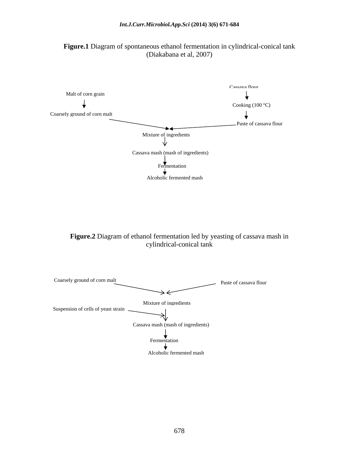



**Figure.2** Diagram of ethanol fermentation led by yeasting of cassava mash in cylindrical-conical tank cylindrical-conical tank

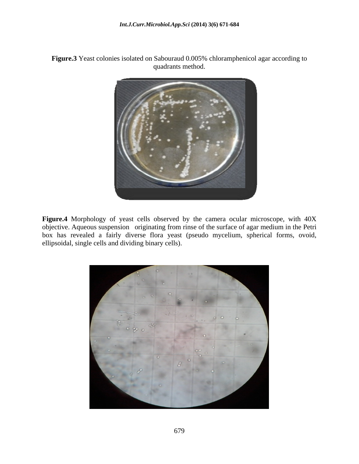



**Figure.4** Morphology of yeast cells observed by the camera ocular microscope, with 40X objective. Aqueous suspension originating from rinse of the surface of agar medium in the Petri box has revealed a fairly diverse flora yeast (pseudo mycelium, spherical forms, ovoid, ellipsoidal, single cells and dividing binary cells).

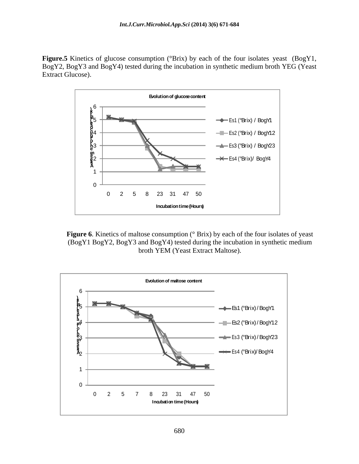**Figure.5** Kinetics of glucose consumption (°Brix) by each of the four isolates yeast (BogY1, BogY2, BogY3 and BogY4) tested during the incubation in synthetic medium broth YEG (Yeast Extract Glucose).



**Figure 6.** Kinetics of maltose consumption ( $\degree$  Brix) by each of the four isolates of yeast (BogY1 BogY2, BogY3 and BogY4) tested during the incubation in synthetic medium broth YEM (Yeast Extract Maltose).

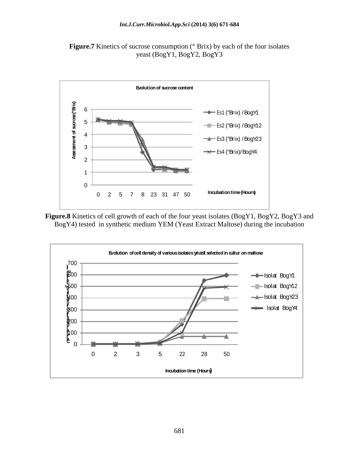



**Figure.8** Kinetics of cell growth of each of the four yeast isolates (BogY1, BogY2, BogY3 and BogY4) tested in synthetic medium YEM (Yeast Extract Maltose) during the incubation

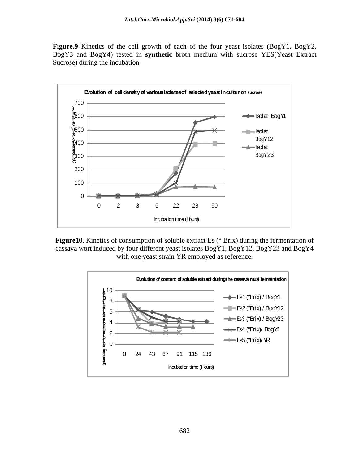**Figure.9** Kinetics of the cell growth of each of the four yeast isolates (BogY1, BogY2, BogY3 and BogY4) tested in **synthetic** broth medium with sucrose YES(Yeast Extract Sucrose) during the incubation



**Figure10**. Kinetics of consumption of soluble extract Es ( $\degree$  Brix) during the fermentation of cassava wort induced by four different yeast isolates BogY1, BogY12, BogY23 and BogY4 with one yeast strain YR employed as reference.

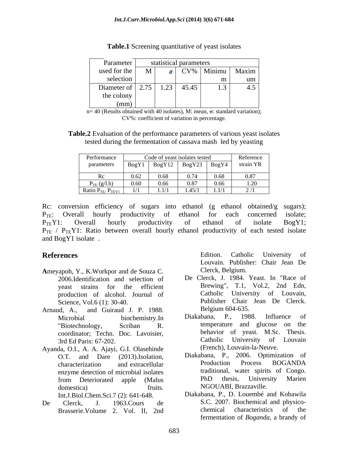| Parameter                                                       | statistical parameters |                      |     |
|-----------------------------------------------------------------|------------------------|----------------------|-----|
| used for the $\begin{array}{ c c } \hline \text{M} \end{array}$ |                        | CV%   Minimu   Maxim |     |
| selection                                                       |                        |                      |     |
| Diameter of $\begin{bmatrix} 2.75 & 1.23 & 45.45 \end{bmatrix}$ |                        | 1.3                  | 4.5 |
| the colony                                                      |                        |                      |     |
| (mm)                                                            |                        |                      |     |

**Table.1** Screening quantitative of yeast isolates

 $n= 40$  (Results obtained with 40 isolates), M: mean,  $\sigma$ : standard variation); CV%: coefficient of variation in percentage.

**Table.2** Evaluation of the performance parameters of various yeast isolates tested during the fermentation of cassava mash led by yeasting

| Performance               |          | Code of yeast isolates tested                         |        |       | Reference    |  |
|---------------------------|----------|-------------------------------------------------------|--------|-------|--------------|--|
| parameters                |          | $\overline{BogY1 \mid BogY12 \mid BogY23 \mid BogY4}$ |        |       | strain YR    |  |
|                           | 0.62     | 0.68                                                  | 0.74   | 0.68  | 0.87         |  |
| $P_{TE}(g/l.h)$           | $0.60\,$ | 0.66                                                  | 0.87   | 0.66  | 1.20         |  |
| Ratio $P_{TE}$ $P_{TEY1}$ | 1/1      | 11/1                                                  | 1.45/1 | 1.1/1 | $\bigcap$ /1 |  |

Rc: conversion efficiency of sugars into ethanol (g ethanol obtained/g sugars); P<sub>TE</sub>: Overall hourly productivity of ethanol for each concerned isolate;  $P_{TE}Y1$ : Overall hourly productivity of ethanol of isolate  $BogY1$ ;  $P_{TE}$  /  $P_{TE}$ Y1: Ratio between overall hourly ethanol productivity of each tested isolate and BogY1 isolate .

- **A**meyapoh, Y., K.Workpor and de Souza C. 2006.Identification and selection of production of alcohol. Journal of
- Arnaud, A., and Guiraud J. P. 1988. Belgium 604-635. 3rd Ed Paris: 67-202.
- Ayanda, O.I., A. A. Ajayi, G.I. Olasehinde domestica) fruits. NGOUABI, Brazzaville.
- 

**References** Edition. Catholic University of Edition. Catholic University of Louvain. Publisher: Chair Jean De Clerck, Belgium.

- yeast strains for the efficient Brewing", T.1, Vol.2, 2nd Edn, Science, Vol.6 (1): 30-40. Publisher Chair Jean De Clerck. De Clerck, J. 1984. Yeast. In "Race of Catholic University of Louvain, Belgium 604-635.
- Microbial biochemistry.In Diakabana, P., 1988. Influence of "Biotechnology, Scriban R. temperature and glucose on the coordinator; Techn. Doc. Lavoisier, behavior of yeast. M.Sc. Thesis.<br>3rd Ed Paris: 67-202 Catholic University of Louvain Diakabana, P., 1988. Influence of temperature and glucose on the behavior of yeast. M.Sc. Thesis. Catholic University of Louvain (French), Louvain-la-Neuve.
- O.T. and Dare (2013).Isolation, Diakabana, P., 2006. Optimization of characterization and extracellular Production Process BOGANDA characterization and extracellular enzyme detection of microbial isolates traditional, water spirits of Congo.<br>
from Deteriorated apple (Malus PhD thesis, University Marien from Deteriorated apple (Malus PhD thesis, University Marien Diakabana, P., 2006. Optimization of Production Process BOGANDA traditional, water spirits of Congo. PhD thesis, University Marien
- Int.J.Biol.Chem.Sci.7 (2): 641-648. Diakabana, P., D. Louembé and Kobawila De Clerck, J. 1963.Cours de S.C. 2007. Biochemical and physico- Brasserie. Volume 2. Vol. II, 2nd chemical characteristics of the chemical characteristics of the fermentation of *Boganda*, a brandy of